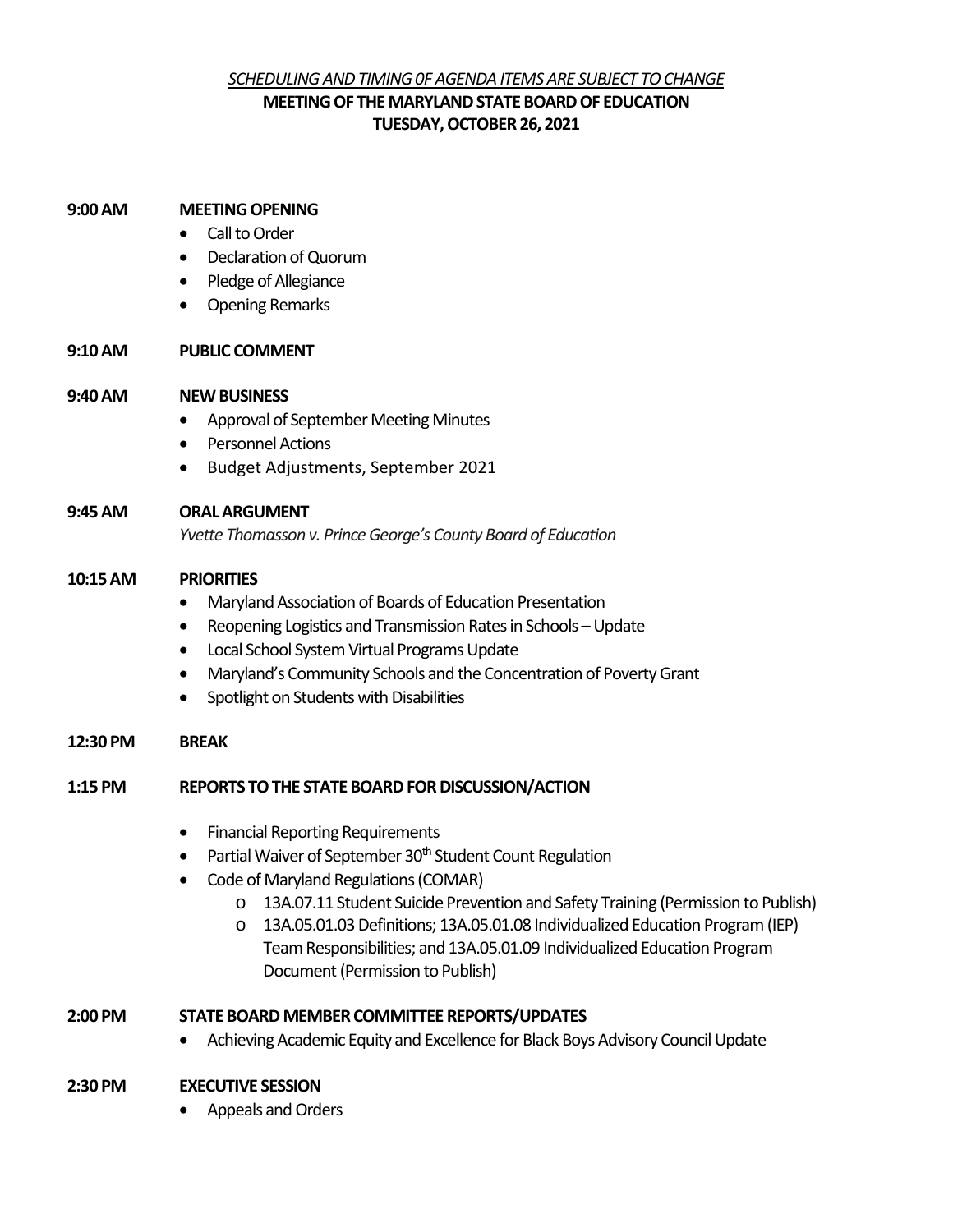# *SCHEDULING AND TIMING 0F AGENDA ITEMS ARE SUBJECT TO CHANGE* **MEETING OF THE MARYLAND STATE BOARD OF EDUCATION TUESDAY, OCTOBER 26, 2021**

#### **9:00AM MEETING OPENING**

- Call to Order
- Declaration of Quorum
- Pledge of Allegiance
- Opening Remarks

### **9:10AM PUBLIC COMMENT**

### **9:40 AM NEW BUSINESS**

- Approval of September Meeting Minutes
- Personnel Actions
- Budget Adjustments, September 2021

### **9:45 AM ORAL ARGUMENT**

*Yvette Thomasson v. Prince George's County Board of Education*

### **10:15AM PRIORITIES**

- Maryland Association of Boards of Education Presentation
- Reopening Logistics and Transmission Rates in Schools Update
- Local School System Virtual Programs Update
- Maryland's Community Schools and the Concentration of Poverty Grant
- Spotlight on Students with Disabilities

#### **12:30 PM BREAK**

## **1:15 PM REPORTS TO THE STATE BOARD FOR DISCUSSION/ACTION**

- Financial Reporting Requirements
- Partial Waiver of September 30<sup>th</sup> Student Count Regulation
- Code of Maryland Regulations (COMAR)
	- o 13A.07.11 Student Suicide Prevention and Safety Training (Permission to Publish)
	- o 13A.05.01.03 Definitions; 13A.05.01.08 Individualized Education Program (IEP) Team Responsibilities; and 13A.05.01.09 Individualized Education Program Document(Permission to Publish)

## **2:00 PM STATE BOARD MEMBER COMMITTEE REPORTS/UPDATES**

• Achieving Academic Equity and Excellence for Black Boys Advisory Council Update

## **2:30 PM EXECUTIVE SESSION**

• Appeals and Orders